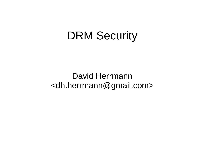#### DRM Security

David Herrmann <dh.herrmann@gmail.com>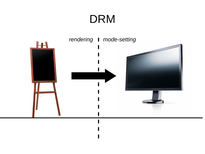### DRM

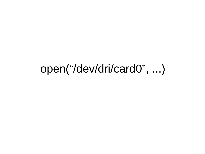### open("/dev/dri/card0", ...)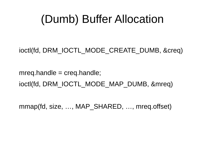# (Dumb) Buffer Allocation

ioctl(fd, DRM\_IOCTL\_MODE\_CREATE\_DUMB, &creq)

 $mreq.handle = creq.handle;$ ioctl(fd, DRM\_IOCTL\_MODE\_MAP\_DUMB, &mreq)

mmap(fd, size, …, MAP SHARED, …, mreq.offset)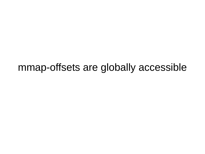#### mmap-offsets are globally accessible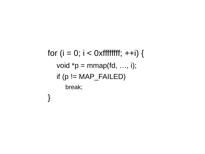for  $(i = 0; i < 0 \times f$ ffffffff; ++i) { void  $*p = mmap(fd, ..., i);$ if  $(p == MAP$  FAILED) break;  $\bigg\}$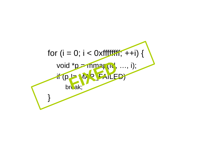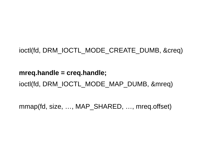#### ioctl(fd, DRM\_IOCTL\_MODE\_CREATE\_DUMB, &creq)

#### **mreq.handle = creq.handle;** ioctl(fd, DRM\_IOCTL\_MODE\_MAP\_DUMB, &mreq)

mmap(fd, size, …, MAP\_SHARED, …, mreq.offset)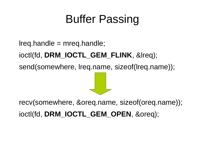# Buffer Passing

lreq.handle = mreq.handle; ioctl(fd, **DRM\_IOCTL\_GEM\_FLINK**, &lreq); send(somewhere, lreq.name, sizeof(lreq.name));

recv(somewhere, &oreq.name, sizeof(oreq.name)); ioctl(fd, **DRM\_IOCTL\_GEM\_OPEN**, &oreq);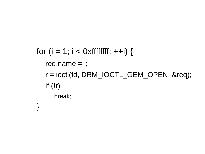```
for (i = 1; i < 0 \times fffffffff; ++i) {
req.name = i;
r = ioctl(fd, DRM_IOCTL_GEM_OPEN, &req);
if (!r)break;
```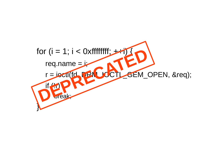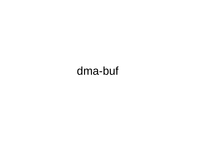# dma-buf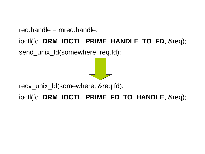req.handle =  $m$ req.handle;

ioctl(fd, **DRM\_IOCTL\_PRIME\_HANDLE\_TO\_FD**, &req);

send unix fd(somewhere, req.fd);

recv\_unix\_fd(somewhere, &req.fd);

ioctl(fd, **DRM\_IOCTL\_PRIME\_FD\_TO\_HANDLE**, &req);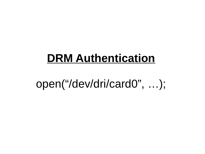#### **DRM Authentication**

# open("/dev/dri/card0", ...);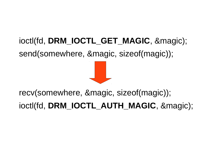#### ioctl(fd, **DRM\_IOCTL\_GET\_MAGIC**, &magic); send(somewhere, &magic, sizeof(magic));

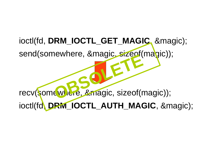#### ioctl(fd, **DRM\_IOCTL\_GET\_MAGIC**, &magic);

send(somewhere, &magic, sizeof(magic));

recv(somewhere, &magic, sizeof(magic)); Ewriele, &magic. Sized<br> **C**Wiche, &magic, sizeof(r

ioctl(fd, **DRM\_IOCTL\_AUTH\_MAGIC**, &magic);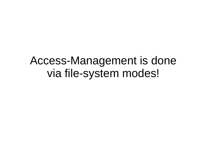#### Access-Management is done via file-system modes!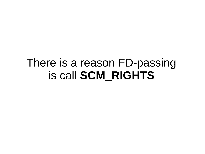# There is a reason FD-passing is call **SCM\_RIGHTS**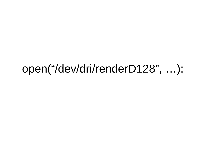### open("/dev/dri/renderD128", ...);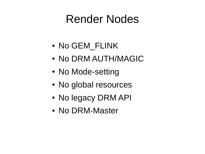# Render Nodes

- No GEM FLINK
- No DRM AUTH/MAGIC
- No Mode-setting
- No global resources
- No legacy DRM API
- No DRM-Master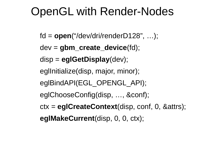# OpenGL with Render-Nodes

fd = **open**("/dev/dri/renderD128", …);

dev = **gbm\_create\_device**(fd);

disp = **eglGetDisplay**(dev);

eglInitialize(disp, major, minor);

eglBindAPI(EGL\_OPENGL\_API);

- eglChooseConfig(disp, …, &conf);
- ctx = **eglCreateContext**(disp, conf, 0, &attrs);

**eglMakeCurrent**(disp, 0, 0, ctx);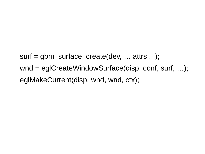surf = gbm\_surface\_create(dev, ... attrs ...); wnd = eglCreateWindowSurface(disp, conf, surf, ...); eglMakeCurrent(disp, wnd, wnd, ctx);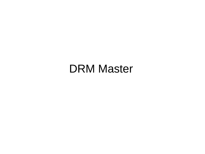#### DRM Master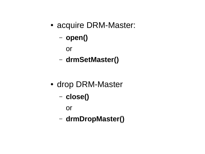- acquire DRM-Master:
	- **open()**

or

– **drmSetMaster()**

- drop DRM-Master
	- **close()**

or

– **drmDropMaster()**